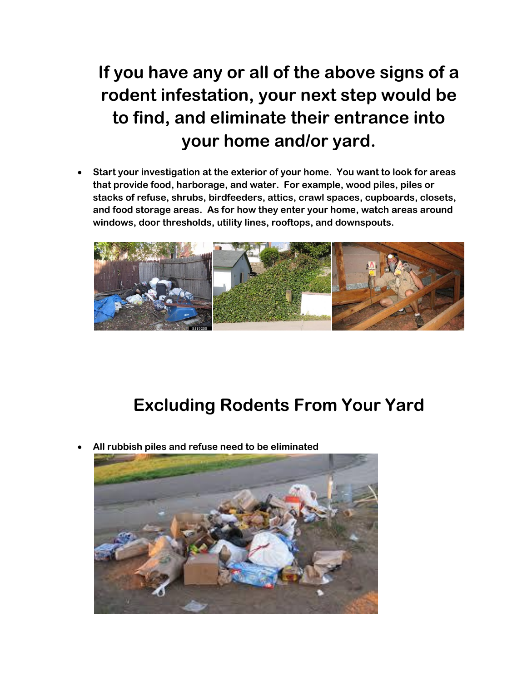## **If you have any or all of the above signs of a rodent infestation, your next step would be to find, and eliminate their entrance into your home and/or yard.**

 **Start your investigation at the exterior of your home. You want to look for areas that provide food, harborage, and water. For example, wood piles, piles or stacks of refuse, shrubs, birdfeeders, attics, crawl spaces, cupboards, closets, and food storage areas. As for how they enter your home, watch areas around windows, door thresholds, utility lines, rooftops, and downspouts.** 



## **Excluding Rodents From Your Yard**

**All rubbish piles and refuse need to be eliminated**

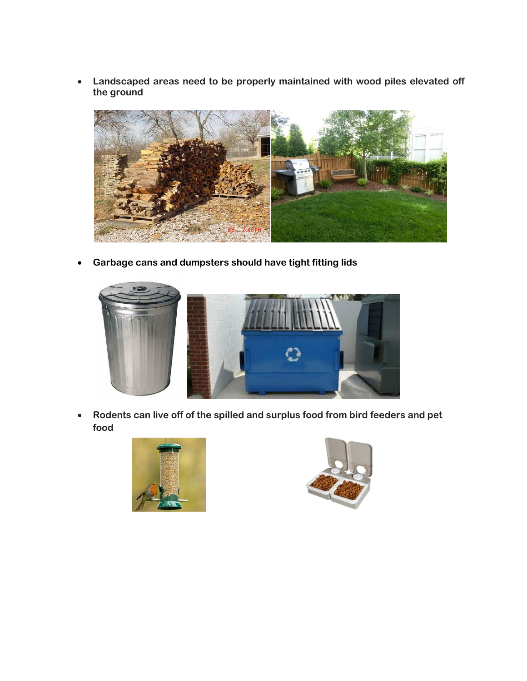**Landscaped areas need to be properly maintained with wood piles elevated off the ground**



**Garbage cans and dumpsters should have tight fitting lids**



 **Rodents can live off of the spilled and surplus food from bird feeders and pet food**